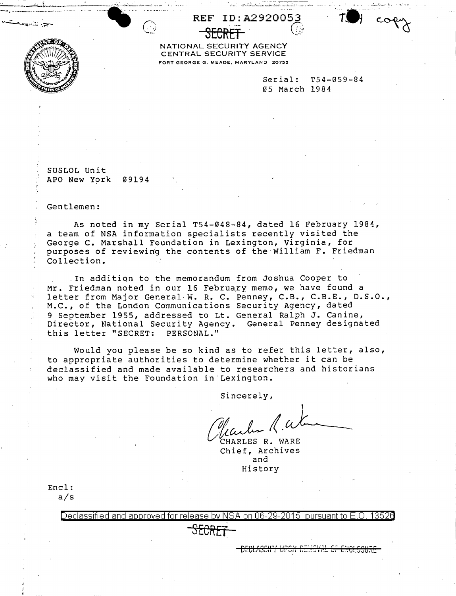

NATIONAL SECURITY AGENCY CENTRAL SECURITY SERVICE FORT GEORGE G. MEADE, MARYLAND 20755

REF

ID:A2920053

|               | $Serial:  T54-059-84$ |
|---------------|-----------------------|
| 05 March 1984 |                       |

SUSLOL Unit APO New York 09194

Gentlemen:

As noted in my Serial T54-048-84, dated 16 February 1984, a team of NSA information specialists recently visited the George C. Marshall Foundation in Lexington, Virginia, for purposes of reviewing the contents of the William F. Friedman Collection.

. In addition to the memorandum from Joshua Cooper to Mr. Friedman noted in our 16 February memo, we have found a letter from Major General W. R. C. Penney, C.B., C.B.E., D.S.O., M.C., of the London Communications Security Agency, dated 9 September 1955, addressed to Lt. General Ralph J. Canine, Director, National Security Agency. General Penney designated this letter "SECRET: PERSONAL."

Would you please be so kind as to refer this letter, also, to appropriate authorities to determine whether it can be declassified and made available to researchers and historians who may visit the Foundation in Lexington.

Sincerely,

CHARLES R. WARE Chief, Archives and History

Encl:  $a/s$ 

> Declassified and approved for release by NSA on 06-29-2015  $\,$  pursuant to E.O. 13526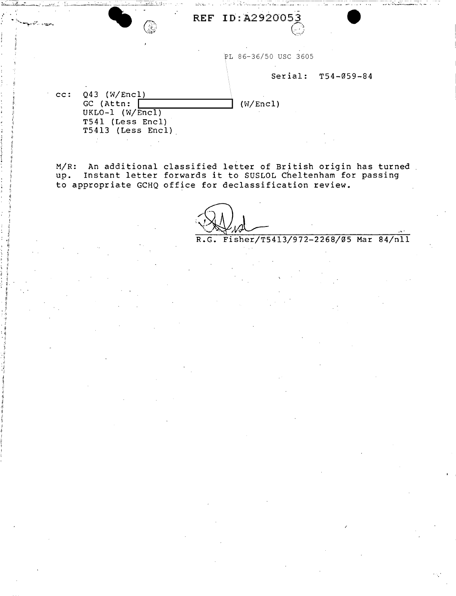REF ID: A2920053

PL 86-36/50 USC 3605

## Serial: T54-059-84

" \_.,•·,. ;\_, , ...... ,'".,,v •• , ... '"~- \_.- • • • -·•~.··,·--'""'•·~-•• "• •~ •

~.;.. .... . . ; .. ;:.·, ·--------------- --~-- ---- - ... -.- -

 $cc: Q43 (W/Encl).$ GC (Attn:  $\boxed{\qquad \qquad}$  (W/Encl) UKL0-1 (W/Encl) T541 (Less Encl) T5413 (Less Encl).

 $\mathcal{A}_{\mathcal{A}}$ 

 $\cdot$  ,11 ~! •• ,II :  $\frac{1}{1}$ *:* <sup>11</sup> ' I·  $\mathfrak{s}$  : : ii ',: 11. ' II II Ii ii • ,11 '"'

مهيدا الأراثية

M/R: An additional classified letter of British origin has turned up. Instant letter forwards it to SUSLOL Cheltenham for passing to appropriate GCHQ office for declassification review.

R.G. Fisher/T5413/972-2268/05 Mar 84/nll